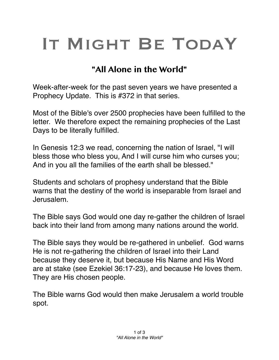## IT MIGHT BE TODAY

## **"All Alone in the World"**

Week-after-week for the past seven years we have presented a Prophecy Update. This is #372 in that series.

Most of the Bible's over 2500 prophecies have been fulfilled to the letter. We therefore expect the remaining prophecies of the Last Days to be literally fulfilled.

In Genesis 12:3 we read, concerning the nation of Israel, "I will bless those who bless you, And I will curse him who curses you; And in you all the families of the earth shall be blessed."

Students and scholars of prophesy understand that the Bible warns that the destiny of the world is inseparable from Israel and Jerusalem.

The Bible says God would one day re-gather the children of Israel back into their land from among many nations around the world.

The Bible says they would be re-gathered in unbelief. God warns He is not re-gathering the children of Israel into their Land because they deserve it, but because His Name and His Word are at stake (see Ezekiel 36:17-23), and because He loves them. They are His chosen people.

The Bible warns God would then make Jerusalem a world trouble spot.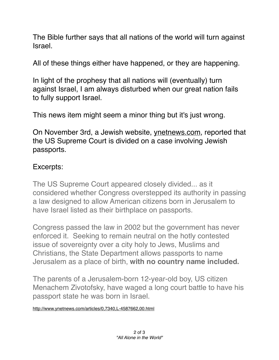The Bible further says that all nations of the world will turn against Israel.

All of these things either have happened, or they are happening.

In light of the prophesy that all nations will (eventually) turn against Israel, I am always disturbed when our great nation fails to fully support Israel.

This news item might seem a minor thing but it's just wrong.

On November 3rd, a Jewish website, [ynetnews.com](http://ynetnews.com), reported that the US Supreme Court is divided on a case involving Jewish passports.

## Excerpts:

The US Supreme Court appeared closely divided... as it considered whether Congress overstepped its authority in passing a law designed to allow American citizens born in Jerusalem to have Israel listed as their birthplace on passports.

Congress passed the law in 2002 but the government has never enforced it. Seeking to remain neutral on the hotly contested issue of sovereignty over a city holy to Jews, Muslims and Christians, the State Department allows passports to name Jerusalem as a place of birth, **with no country name included.**

The parents of a Jerusalem-born 12-year-old boy, US citizen Menachem Zivotofsky, have waged a long court battle to have his passport state he was born in Israel.

<http://www.ynetnews.com/articles/0,7340,L-4587662,00.html>